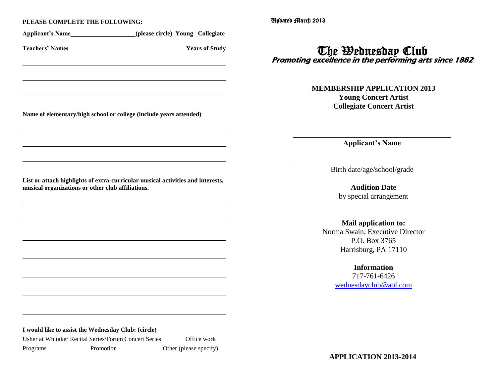#### **PLEASE COMPLETE THE FOLLOWING:**

|                                                                    | (please circle) Young Collegiate                                                |
|--------------------------------------------------------------------|---------------------------------------------------------------------------------|
| <b>Teachers' Names</b>                                             | <b>Years of Study</b>                                                           |
|                                                                    |                                                                                 |
|                                                                    |                                                                                 |
| Name of elementary/high school or college (include years attended) |                                                                                 |
|                                                                    |                                                                                 |
|                                                                    |                                                                                 |
|                                                                    |                                                                                 |
|                                                                    | List or attach highlights of extra-curricular musical activities and interests, |
|                                                                    |                                                                                 |
|                                                                    |                                                                                 |
|                                                                    |                                                                                 |
|                                                                    |                                                                                 |
|                                                                    |                                                                                 |
| musical organizations or other club affiliations.                  |                                                                                 |

Usher at Whitaker Recital Series/Forum Concert Series Office work Programs Promotion Other (please specify) Updated March 2013

# The Wednesday Club Promoting excellence in the performing arts since 1882

**MEMBERSHIP APPLICATION 2013 Young Concert Artist Collegiate Concert Artist**

**Applicant's Name**

Birth date/age/school/grade

**Audition Date** by special arrangement

**Mail application to:** Norma Swain, Executive Director

P.O. Box 3765 Harrisburg, PA 17110

> **Information** 717-761-6426

[wednesdayclub@aol.com](mailto:wednesdayclub@aol.com)

**APPLICATION 2013-2014**